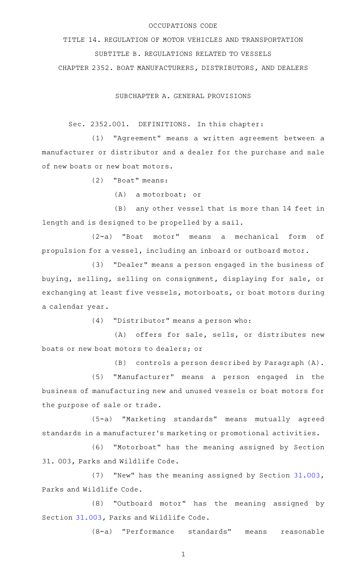## OCCUPATIONS CODE

TITLE 14. REGULATION OF MOTOR VEHICLES AND TRANSPORTATION SUBTITLE B. REGULATIONS RELATED TO VESSELS CHAPTER 2352. BOAT MANUFACTURERS, DISTRIBUTORS, AND DEALERS

SUBCHAPTER A. GENERAL PROVISIONS

Sec. 2352.001. DEFINITIONS. In this chapter:

(1) "Agreement" means a written agreement between a manufacturer or distributor and a dealer for the purchase and sale of new boats or new boat motors.

(2) "Boat" means:

 $(A)$  a motorboat; or

(B) any other vessel that is more than 14 feet in length and is designed to be propelled by a sail.

(2-a) "Boat motor" means a mechanical form of propulsion for a vessel, including an inboard or outboard motor.

(3) "Dealer" means a person engaged in the business of buying, selling, selling on consignment, displaying for sale, or exchanging at least five vessels, motorboats, or boat motors during a calendar year.

 $(4)$  "Distributor" means a person who:

(A) offers for sale, sells, or distributes new boats or new boat motors to dealers; or

(B) controls a person described by Paragraph (A).

(5) "Manufacturer" means a person engaged in the business of manufacturing new and unused vessels or boat motors for the purpose of sale or trade.

(5-a) "Marketing standards" means mutually agreed standards in a manufacturer 's marketing or promotional activities.

(6) "Motorboat" has the meaning assigned by Section 31. 003, Parks and Wildlife Code.

(7) "New" has the meaning assigned by Section [31.003](http://www.statutes.legis.state.tx.us/GetStatute.aspx?Code=PW&Value=31.003), Parks and Wildlife Code.

(8) "Outboard motor" has the meaning assigned by Section [31.003](http://www.statutes.legis.state.tx.us/GetStatute.aspx?Code=PW&Value=31.003), Parks and Wildlife Code.

(8-a) "Performance standards" means reasonable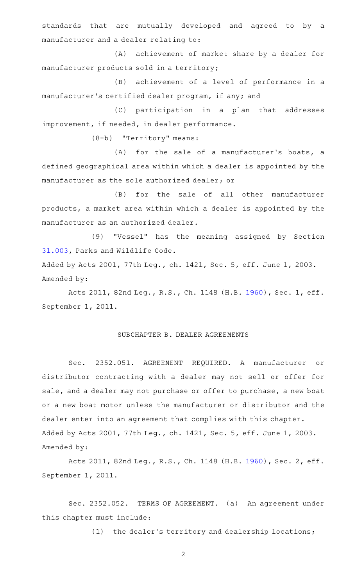standards that are mutually developed and agreed to by a manufacturer and a dealer relating to:

(A) achievement of market share by a dealer for manufacturer products sold in a territory;

(B) achievement of a level of performance in a manufacturer 's certified dealer program, if any; and

(C) participation in a plan that addresses improvement, if needed, in dealer performance.

(8-b) "Territory" means:

 $(A)$  for the sale of a manufacturer's boats, a defined geographical area within which a dealer is appointed by the manufacturer as the sole authorized dealer; or

(B) for the sale of all other manufacturer products, a market area within which a dealer is appointed by the manufacturer as an authorized dealer.

(9) "Vessel" has the meaning assigned by Section [31.003](http://www.statutes.legis.state.tx.us/GetStatute.aspx?Code=PW&Value=31.003), Parks and Wildlife Code.

Added by Acts 2001, 77th Leg., ch. 1421, Sec. 5, eff. June 1, 2003. Amended by:

Acts 2011, 82nd Leg., R.S., Ch. 1148 (H.B. [1960](http://www.legis.state.tx.us/tlodocs/82R/billtext/html/HB01960F.HTM)), Sec. 1, eff. September 1, 2011.

## SUBCHAPTER B. DEALER AGREEMENTS

Sec. 2352.051. AGREEMENT REQUIRED. A manufacturer or distributor contracting with a dealer may not sell or offer for sale, and a dealer may not purchase or offer to purchase, a new boat or a new boat motor unless the manufacturer or distributor and the dealer enter into an agreement that complies with this chapter. Added by Acts 2001, 77th Leg., ch. 1421, Sec. 5, eff. June 1, 2003. Amended by:

Acts 2011, 82nd Leg., R.S., Ch. 1148 (H.B. [1960](http://www.legis.state.tx.us/tlodocs/82R/billtext/html/HB01960F.HTM)), Sec. 2, eff. September 1, 2011.

Sec. 2352.052. TERMS OF AGREEMENT. (a) An agreement under this chapter must include:

(1) the dealer's territory and dealership locations;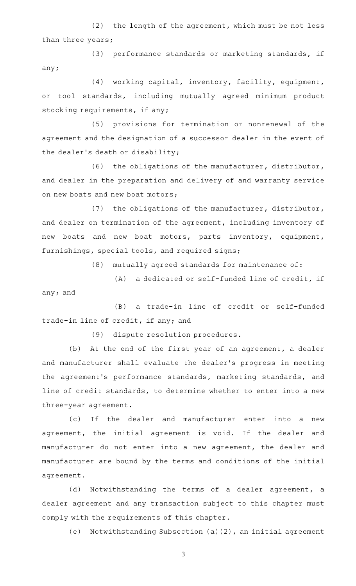(2) the length of the agreement, which must be not less than three years;

(3) performance standards or marketing standards, if any;

(4) working capital, inventory, facility, equipment, or tool standards, including mutually agreed minimum product stocking requirements, if any;

(5) provisions for termination or nonrenewal of the agreement and the designation of a successor dealer in the event of the dealer 's death or disability;

(6) the obligations of the manufacturer, distributor, and dealer in the preparation and delivery of and warranty service on new boats and new boat motors;

(7) the obligations of the manufacturer, distributor, and dealer on termination of the agreement, including inventory of new boats and new boat motors, parts inventory, equipment, furnishings, special tools, and required signs;

 $(8)$  mutually agreed standards for maintenance of:

(A) a dedicated or self-funded line of credit, if any; and

(B) a trade-in line of credit or self-funded trade-in line of credit, if any; and

(9) dispute resolution procedures.

(b) At the end of the first year of an agreement, a dealer and manufacturer shall evaluate the dealer 's progress in meeting the agreement 's performance standards, marketing standards, and line of credit standards, to determine whether to enter into a new three-year agreement.

(c) If the dealer and manufacturer enter into a new agreement, the initial agreement is void. If the dealer and manufacturer do not enter into a new agreement, the dealer and manufacturer are bound by the terms and conditions of the initial agreement.

(d) Notwithstanding the terms of a dealer agreement, a dealer agreement and any transaction subject to this chapter must comply with the requirements of this chapter.

(e) Notwithstanding Subsection  $(a)(2)$ , an initial agreement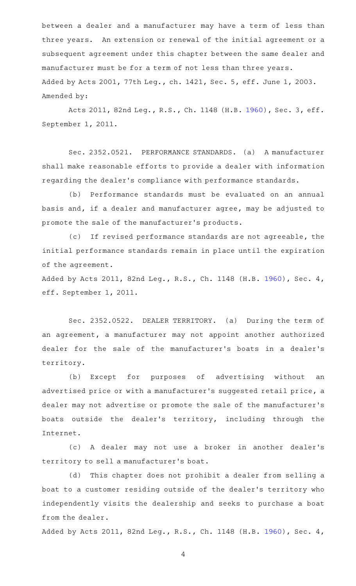between a dealer and a manufacturer may have a term of less than three years. An extension or renewal of the initial agreement or a subsequent agreement under this chapter between the same dealer and manufacturer must be for a term of not less than three years. Added by Acts 2001, 77th Leg., ch. 1421, Sec. 5, eff. June 1, 2003. Amended by:

Acts 2011, 82nd Leg., R.S., Ch. 1148 (H.B. [1960](http://www.legis.state.tx.us/tlodocs/82R/billtext/html/HB01960F.HTM)), Sec. 3, eff. September 1, 2011.

Sec. 2352.0521. PERFORMANCE STANDARDS. (a) A manufacturer shall make reasonable efforts to provide a dealer with information regarding the dealer 's compliance with performance standards.

(b) Performance standards must be evaluated on an annual basis and, if a dealer and manufacturer agree, may be adjusted to promote the sale of the manufacturer 's products.

(c) If revised performance standards are not agreeable, the initial performance standards remain in place until the expiration of the agreement.

Added by Acts 2011, 82nd Leg., R.S., Ch. 1148 (H.B. [1960\)](http://www.legis.state.tx.us/tlodocs/82R/billtext/html/HB01960F.HTM), Sec. 4, eff. September 1, 2011.

Sec. 2352.0522. DEALER TERRITORY. (a) During the term of an agreement, a manufacturer may not appoint another authorized dealer for the sale of the manufacturer 's boats in a dealer 's territory.

(b) Except for purposes of advertising without an advertised price or with a manufacturer 's suggested retail price, a dealer may not advertise or promote the sale of the manufacturer 's boats outside the dealer 's territory, including through the Internet.

(c)AAA dealer may not use a broker in another dealer 's territory to sell a manufacturer 's boat.

(d) This chapter does not prohibit a dealer from selling a boat to a customer residing outside of the dealer 's territory who independently visits the dealership and seeks to purchase a boat from the dealer.

Added by Acts 2011, 82nd Leg., R.S., Ch. 1148 (H.B. [1960\)](http://www.legis.state.tx.us/tlodocs/82R/billtext/html/HB01960F.HTM), Sec. 4,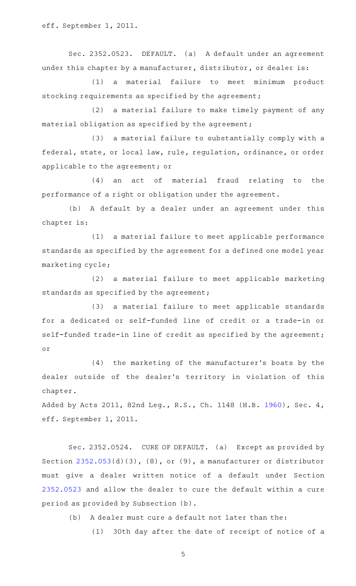eff. September 1, 2011.

Sec. 2352.0523. DEFAULT. (a) A default under an agreement under this chapter by a manufacturer, distributor, or dealer is:

(1) a material failure to meet minimum product stocking requirements as specified by the agreement;

(2) a material failure to make timely payment of any material obligation as specified by the agreement;

(3) a material failure to substantially comply with a federal, state, or local law, rule, regulation, ordinance, or order applicable to the agreement; or

 $(4)$  an act of material fraud relating to the performance of a right or obligation under the agreement.

(b) A default by a dealer under an agreement under this chapter is:

(1) a material failure to meet applicable performance standards as specified by the agreement for a defined one model year marketing cycle;

(2) a material failure to meet applicable marketing standards as specified by the agreement;

(3) a material failure to meet applicable standards for a dedicated or self-funded line of credit or a trade-in or self-funded trade-in line of credit as specified by the agreement; or

(4) the marketing of the manufacturer's boats by the dealer outside of the dealer 's territory in violation of this chapter.

Added by Acts 2011, 82nd Leg., R.S., Ch. 1148 (H.B. [1960\)](http://www.legis.state.tx.us/tlodocs/82R/billtext/html/HB01960F.HTM), Sec. 4, eff. September 1, 2011.

Sec. 2352.0524. CURE OF DEFAULT. (a) Except as provided by Section [2352.053](http://www.statutes.legis.state.tx.us/GetStatute.aspx?Code=OC&Value=2352.053)(d)(3), (8), or (9), a manufacturer or distributor must give a dealer written notice of a default under Section [2352.0523](http://www.statutes.legis.state.tx.us/GetStatute.aspx?Code=OC&Value=2352.0523) and allow the dealer to cure the default within a cure period as provided by Subsection (b).

(b) A dealer must cure a default not later than the:

(1) 30th day after the date of receipt of notice of a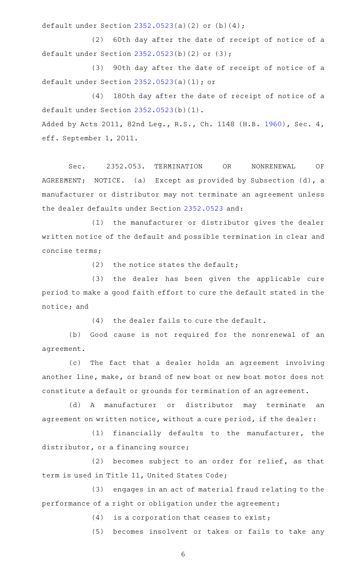default under Section [2352.0523](http://www.statutes.legis.state.tx.us/GetStatute.aspx?Code=OC&Value=2352.0523)(a)(2) or (b)(4);

(2) 60th day after the date of receipt of notice of a default under Section [2352.0523](http://www.statutes.legis.state.tx.us/GetStatute.aspx?Code=OC&Value=2352.0523)(b)(2) or (3);

(3) 90th day after the date of receipt of notice of a default under Section [2352.0523](http://www.statutes.legis.state.tx.us/GetStatute.aspx?Code=OC&Value=2352.0523)(a)(1); or

(4) 180th day after the date of receipt of notice of a default under Section [2352.0523](http://www.statutes.legis.state.tx.us/GetStatute.aspx?Code=OC&Value=2352.0523)(b)(1). Added by Acts 2011, 82nd Leg., R.S., Ch. 1148 (H.B. [1960\)](http://www.legis.state.tx.us/tlodocs/82R/billtext/html/HB01960F.HTM), Sec. 4, eff. September 1, 2011.

Sec. 2352.053. TERMINATION OR NONRENEWAL OF AGREEMENT; NOTICE. (a) Except as provided by Subsection (d), a manufacturer or distributor may not terminate an agreement unless the dealer defaults under Section [2352.0523](http://www.statutes.legis.state.tx.us/GetStatute.aspx?Code=OC&Value=2352.0523) and:

(1) the manufacturer or distributor gives the dealer written notice of the default and possible termination in clear and concise terms;

 $(2)$  the notice states the default;

(3) the dealer has been given the applicable cure period to make a good faith effort to cure the default stated in the notice; and

 $(4)$  the dealer fails to cure the default.

(b) Good cause is not required for the nonrenewal of an agreement.

(c) The fact that a dealer holds an agreement involving another line, make, or brand of new boat or new boat motor does not constitute a default or grounds for termination of an agreement.

(d) A manufacturer or distributor may terminate an agreement on written notice, without a cure period, if the dealer:

(1) financially defaults to the manufacturer, the distributor, or a financing source;

 $(2)$  becomes subject to an order for relief, as that term is used in Title 11, United States Code;

(3) engages in an act of material fraud relating to the performance of a right or obligation under the agreement;

 $(4)$  is a corporation that ceases to exist;

(5) becomes insolvent or takes or fails to take any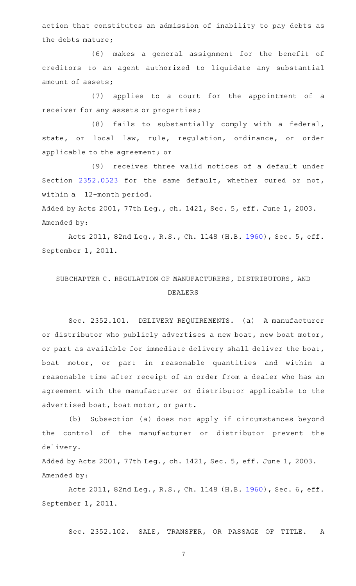action that constitutes an admission of inability to pay debts as the debts mature;

(6) makes a general assignment for the benefit of creditors to an agent authorized to liquidate any substantial amount of assets;

(7) applies to a court for the appointment of a receiver for any assets or properties;

(8) fails to substantially comply with a federal, state, or local law, rule, regulation, ordinance, or order applicable to the agreement; or

(9) receives three valid notices of a default under Section [2352.0523](http://www.statutes.legis.state.tx.us/GetStatute.aspx?Code=OC&Value=2352.0523) for the same default, whether cured or not, within a 12-month period.

Added by Acts 2001, 77th Leg., ch. 1421, Sec. 5, eff. June 1, 2003. Amended by:

Acts 2011, 82nd Leg., R.S., Ch. 1148 (H.B. [1960](http://www.legis.state.tx.us/tlodocs/82R/billtext/html/HB01960F.HTM)), Sec. 5, eff. September 1, 2011.

## SUBCHAPTER C. REGULATION OF MANUFACTURERS, DISTRIBUTORS, AND DEALERS

Sec. 2352.101. DELIVERY REQUIREMENTS. (a) A manufacturer or distributor who publicly advertises a new boat, new boat motor, or part as available for immediate delivery shall deliver the boat, boat motor, or part in reasonable quantities and within a reasonable time after receipt of an order from a dealer who has an agreement with the manufacturer or distributor applicable to the advertised boat, boat motor, or part.

(b) Subsection (a) does not apply if circumstances beyond the control of the manufacturer or distributor prevent the delivery.

Added by Acts 2001, 77th Leg., ch. 1421, Sec. 5, eff. June 1, 2003. Amended by:

Acts 2011, 82nd Leg., R.S., Ch. 1148 (H.B. [1960](http://www.legis.state.tx.us/tlodocs/82R/billtext/html/HB01960F.HTM)), Sec. 6, eff. September 1, 2011.

Sec. 2352.102. SALE, TRANSFER, OR PASSAGE OF TITLE. A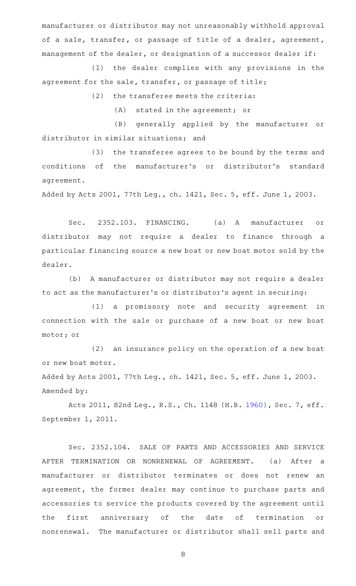manufacturer or distributor may not unreasonably withhold approval of a sale, transfer, or passage of title of a dealer, agreement, management of the dealer, or designation of a successor dealer if:

(1) the dealer complies with any provisions in the agreement for the sale, transfer, or passage of title;

 $(2)$  the transferee meets the criteria:

 $(A)$  stated in the agreement; or

(B) generally applied by the manufacturer or distributor in similar situations; and

(3) the transferee agrees to be bound by the terms and conditions of the manufacturer 's or distributor 's standard agreement.

Added by Acts 2001, 77th Leg., ch. 1421, Sec. 5, eff. June 1, 2003.

Sec. 2352.103. FINANCING. (a) A manufacturer or distributor may not require a dealer to finance through a particular financing source a new boat or new boat motor sold by the dealer.

(b) A manufacturer or distributor may not require a dealer to act as the manufacturer 's or distributor 's agent in securing:

(1) a promissory note and security agreement in connection with the sale or purchase of a new boat or new boat motor; or

 $(2)$  an insurance policy on the operation of a new boat or new boat motor.

Added by Acts 2001, 77th Leg., ch. 1421, Sec. 5, eff. June 1, 2003. Amended by:

Acts 2011, 82nd Leg., R.S., Ch. 1148 (H.B. [1960](http://www.legis.state.tx.us/tlodocs/82R/billtext/html/HB01960F.HTM)), Sec. 7, eff. September 1, 2011.

Sec. 2352.104. SALE OF PARTS AND ACCESSORIES AND SERVICE AFTER TERMINATION OR NONRENEWAL OF AGREEMENT. (a) After a manufacturer or distributor terminates or does not renew an agreement, the former dealer may continue to purchase parts and accessories to service the products covered by the agreement until the first anniversary of the date of termination or nonrenewal. The manufacturer or distributor shall sell parts and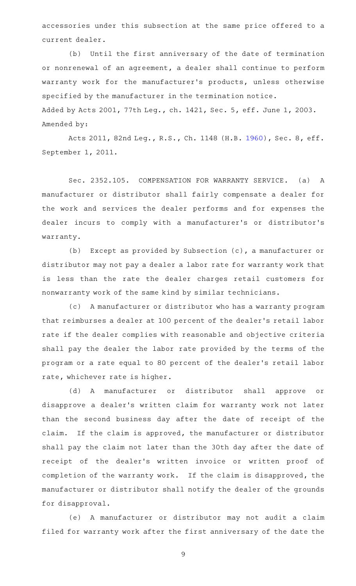accessories under this subsection at the same price offered to a current dealer.

(b) Until the first anniversary of the date of termination or nonrenewal of an agreement, a dealer shall continue to perform warranty work for the manufacturer 's products, unless otherwise specified by the manufacturer in the termination notice. Added by Acts 2001, 77th Leg., ch. 1421, Sec. 5, eff. June 1, 2003. Amended by:

Acts 2011, 82nd Leg., R.S., Ch. 1148 (H.B. [1960](http://www.legis.state.tx.us/tlodocs/82R/billtext/html/HB01960F.HTM)), Sec. 8, eff. September 1, 2011.

Sec. 2352.105. COMPENSATION FOR WARRANTY SERVICE. (a) A manufacturer or distributor shall fairly compensate a dealer for the work and services the dealer performs and for expenses the dealer incurs to comply with a manufacturer 's or distributor 's warranty.

(b) Except as provided by Subsection (c), a manufacturer or distributor may not pay a dealer a labor rate for warranty work that is less than the rate the dealer charges retail customers for nonwarranty work of the same kind by similar technicians.

(c) A manufacturer or distributor who has a warranty program that reimburses a dealer at 100 percent of the dealer 's retail labor rate if the dealer complies with reasonable and objective criteria shall pay the dealer the labor rate provided by the terms of the program or a rate equal to 80 percent of the dealer 's retail labor rate, whichever rate is higher.

(d)AAA manufacturer or distributor shall approve or disapprove a dealer 's written claim for warranty work not later than the second business day after the date of receipt of the claim. If the claim is approved, the manufacturer or distributor shall pay the claim not later than the 30th day after the date of receipt of the dealer's written invoice or written proof of completion of the warranty work. If the claim is disapproved, the manufacturer or distributor shall notify the dealer of the grounds for disapproval.

(e)AAA manufacturer or distributor may not audit a claim filed for warranty work after the first anniversary of the date the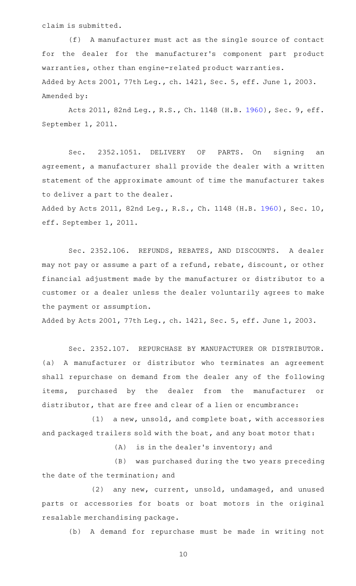claim is submitted.

(f) A manufacturer must act as the single source of contact for the dealer for the manufacturer 's component part product warranties, other than engine-related product warranties. Added by Acts 2001, 77th Leg., ch. 1421, Sec. 5, eff. June 1, 2003. Amended by:

Acts 2011, 82nd Leg., R.S., Ch. 1148 (H.B. [1960](http://www.legis.state.tx.us/tlodocs/82R/billtext/html/HB01960F.HTM)), Sec. 9, eff. September 1, 2011.

Sec. 2352.1051. DELIVERY OF PARTS. On signing an agreement, a manufacturer shall provide the dealer with a written statement of the approximate amount of time the manufacturer takes to deliver a part to the dealer.

Added by Acts 2011, 82nd Leg., R.S., Ch. 1148 (H.B. [1960](http://www.legis.state.tx.us/tlodocs/82R/billtext/html/HB01960F.HTM)), Sec. 10, eff. September 1, 2011.

Sec. 2352.106. REFUNDS, REBATES, AND DISCOUNTS. A dealer may not pay or assume a part of a refund, rebate, discount, or other financial adjustment made by the manufacturer or distributor to a customer or a dealer unless the dealer voluntarily agrees to make the payment or assumption.

Added by Acts 2001, 77th Leg., ch. 1421, Sec. 5, eff. June 1, 2003.

Sec. 2352.107. REPURCHASE BY MANUFACTURER OR DISTRIBUTOR. (a) A manufacturer or distributor who terminates an agreement shall repurchase on demand from the dealer any of the following items, purchased by the dealer from the manufacturer or distributor, that are free and clear of a lien or encumbrance:

 $(1)$  a new, unsold, and complete boat, with accessories and packaged trailers sold with the boat, and any boat motor that:

 $(A)$  is in the dealer's inventory; and

(B) was purchased during the two years preceding the date of the termination; and

(2) any new, current, unsold, undamaged, and unused parts or accessories for boats or boat motors in the original resalable merchandising package.

(b) A demand for repurchase must be made in writing not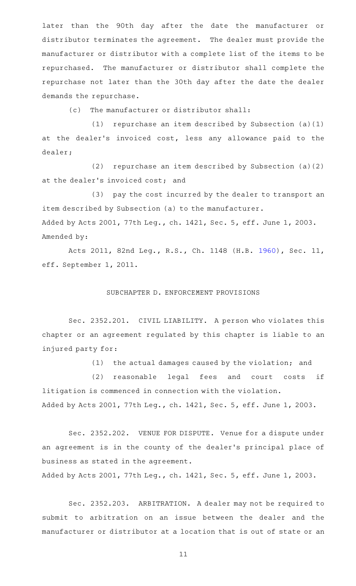later than the 90th day after the date the manufacturer or distributor terminates the agreement. The dealer must provide the manufacturer or distributor with a complete list of the items to be repurchased. The manufacturer or distributor shall complete the repurchase not later than the 30th day after the date the dealer demands the repurchase.

(c) The manufacturer or distributor shall:

(1) repurchase an item described by Subsection  $(a)(1)$ at the dealer's invoiced cost, less any allowance paid to the dealer;

(2) repurchase an item described by Subsection  $(a)(2)$ at the dealer 's invoiced cost; and

(3) pay the cost incurred by the dealer to transport an item described by Subsection (a) to the manufacturer. Added by Acts 2001, 77th Leg., ch. 1421, Sec. 5, eff. June 1, 2003. Amended by:

Acts 2011, 82nd Leg., R.S., Ch. 1148 (H.B. [1960](http://www.legis.state.tx.us/tlodocs/82R/billtext/html/HB01960F.HTM)), Sec. 11, eff. September 1, 2011.

## SUBCHAPTER D. ENFORCEMENT PROVISIONS

Sec. 2352.201. CIVIL LIABILITY. A person who violates this chapter or an agreement regulated by this chapter is liable to an injured party for:

 $(1)$  the actual damages caused by the violation; and

(2) reasonable legal fees and court costs if litigation is commenced in connection with the violation. Added by Acts 2001, 77th Leg., ch. 1421, Sec. 5, eff. June 1, 2003.

Sec. 2352.202. VENUE FOR DISPUTE. Venue for a dispute under an agreement is in the county of the dealer 's principal place of business as stated in the agreement.

Added by Acts 2001, 77th Leg., ch. 1421, Sec. 5, eff. June 1, 2003.

Sec. 2352.203. ARBITRATION. A dealer may not be required to submit to arbitration on an issue between the dealer and the manufacturer or distributor at a location that is out of state or an